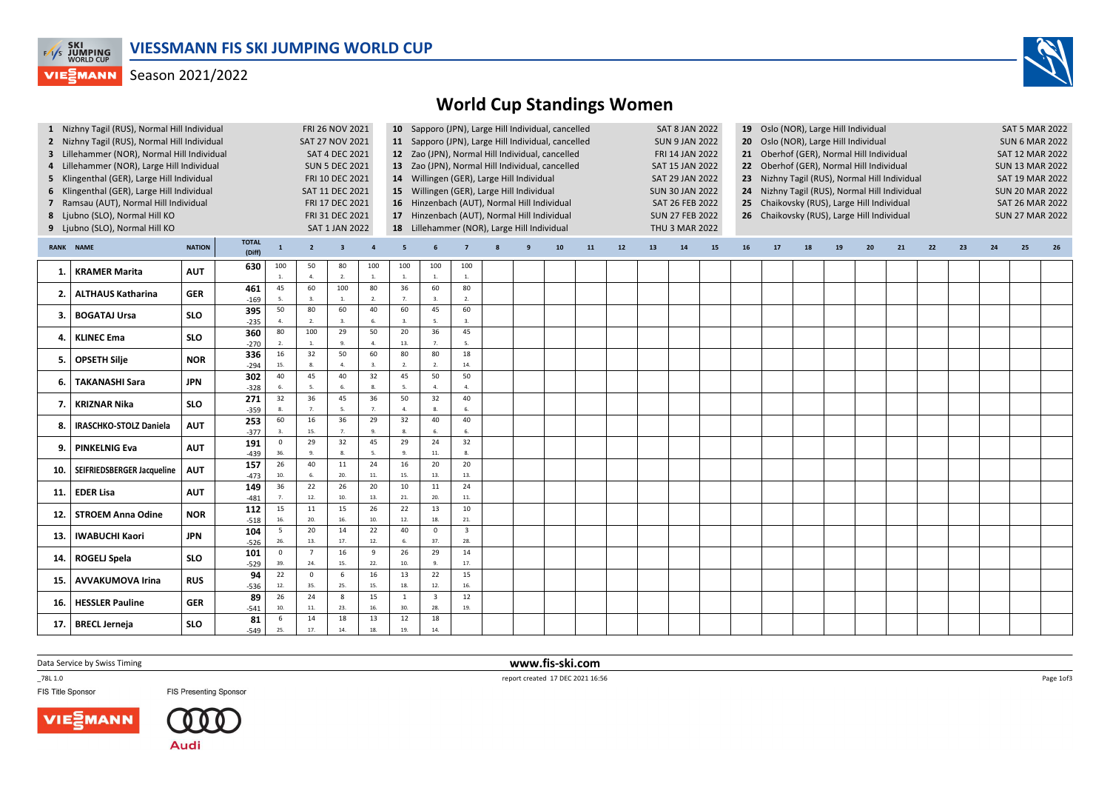

## **VIESMANN** Season 2021/2022

## World Cup Standings Women

|                                   | 1 Nizhny Tagil (RUS), Normal Hill Individual<br>2 Nizhny Tagil (RUS), Normal Hill Individual<br>3 Lillehammer (NOR), Normal Hill Individual<br>4 Lillehammer (NOR), Large Hill Individual<br>5 Klingenthal (GER), Large Hill Individual<br>6 Klingenthal (GER), Large Hill Individual<br>7 Ramsau (AUT), Normal Hill Individual<br>8 Ljubno (SLO), Normal Hill KO<br>9 Ljubno (SLO), Normal Hill KO |            |                        |                      | FRI 26 NOV 2021<br><b>SAT 27 NOV 2021</b><br><b>SAT 4 DEC 2021</b><br><b>SUN 5 DEC 2021</b><br>FRI 10 DEC 2021<br>SAT 11 DEC 2021<br>FRI 17 DEC 2021<br>FRI 31 DEC 2021<br>SAT 1 JAN 2022 |                         | 10 Sapporo (JPN), Large Hill Individual, cancelled<br>11 Sapporo (JPN), Large Hill Individual, cancelled<br>12 Zao (JPN), Normal Hill Individual, cancelled<br>13 Zao (JPN), Normal Hill Individual, cancelled<br>14 Willingen (GER), Large Hill Individual<br>15 Willingen (GER), Large Hill Individual<br>16 Hinzenbach (AUT), Normal Hill Individual<br>17 Hinzenbach (AUT), Normal Hill Individual<br>18 Lillehammer (NOR), Large Hill Individual |                       |                       |                      |  |  |    |    |    | <b>SAT 8 JAN 2022</b><br><b>SUN 9 JAN 2022</b><br>FRI 14 JAN 2022<br>SAT 15 JAN 2022<br><b>SAT 29 JAN 2022</b><br><b>SUN 30 JAN 2022</b><br>SAT 26 FEB 2022<br><b>SUN 27 FEB 2022</b><br><b>THU 3 MAR 2022</b> |    | Oslo (NOR), Large Hill Individual<br>19<br>20 Oslo (NOR), Large Hill Individual<br>21 Oberhof (GER), Normal Hill Individual<br>22 Oberhof (GER), Normal Hill Individual<br>Nizhny Tagil (RUS), Normal Hill Individual<br>23<br>24 Nizhny Tagil (RUS), Normal Hill Individual<br>25 Chaikovsky (RUS), Large Hill Individual<br>26 Chaikovsky (RUS), Large Hill Individual |    |    |    |    |    |    |    |    | <b>SAT 5 MAR 2022</b><br><b>SUN 6 MAR 2022</b><br><b>SAT 12 MAR 2022</b><br><b>SUN 13 MAR 2022</b><br><b>SAT 19 MAR 2022</b><br><b>SUN 20 MAR 2022</b><br><b>SAT 26 MAR 2022</b><br><b>SUN 27 MAR 2022</b> |    |    |  |
|-----------------------------------|-----------------------------------------------------------------------------------------------------------------------------------------------------------------------------------------------------------------------------------------------------------------------------------------------------------------------------------------------------------------------------------------------------|------------|------------------------|----------------------|-------------------------------------------------------------------------------------------------------------------------------------------------------------------------------------------|-------------------------|-------------------------------------------------------------------------------------------------------------------------------------------------------------------------------------------------------------------------------------------------------------------------------------------------------------------------------------------------------------------------------------------------------------------------------------------------------|-----------------------|-----------------------|----------------------|--|--|----|----|----|----------------------------------------------------------------------------------------------------------------------------------------------------------------------------------------------------------------|----|--------------------------------------------------------------------------------------------------------------------------------------------------------------------------------------------------------------------------------------------------------------------------------------------------------------------------------------------------------------------------|----|----|----|----|----|----|----|----|------------------------------------------------------------------------------------------------------------------------------------------------------------------------------------------------------------|----|----|--|
| <b>RANK NAME</b><br><b>NATION</b> |                                                                                                                                                                                                                                                                                                                                                                                                     |            | <b>TOTAL</b><br>(Diff) | $\mathbf{1}$         | $\overline{2}$                                                                                                                                                                            | $\overline{\mathbf{3}}$ | $\overline{4}$                                                                                                                                                                                                                                                                                                                                                                                                                                        | 5 <sub>5</sub>        |                       | $\overline{7}$       |  |  | 10 | 11 | 12 | 13                                                                                                                                                                                                             | 14 | 15                                                                                                                                                                                                                                                                                                                                                                       | 16 | 17 | 18 | 19 | 20 | 21 | 22 | 23 | 24                                                                                                                                                                                                         | 25 | 26 |  |
| -1.                               | <b>KRAMER Marita</b>                                                                                                                                                                                                                                                                                                                                                                                | <b>AUT</b> | 630                    | 100<br>$\mathbf{1}$  | 50<br>$\overline{4}$                                                                                                                                                                      | 80<br>2.                | 100<br><b>1.</b>                                                                                                                                                                                                                                                                                                                                                                                                                                      | 100<br>$\overline{1}$ | 100<br>$\mathbf{1}$   | 100<br>$\mathbf{1}$  |  |  |    |    |    |                                                                                                                                                                                                                |    |                                                                                                                                                                                                                                                                                                                                                                          |    |    |    |    |    |    |    |    |                                                                                                                                                                                                            |    |    |  |
| 2.                                | <b>ALTHAUS Katharina</b>                                                                                                                                                                                                                                                                                                                                                                            | <b>GER</b> | 461<br>$-169$          | 45<br>-5.            | 60<br>$\overline{3}$                                                                                                                                                                      | 100<br>1.               | 80<br>2.                                                                                                                                                                                                                                                                                                                                                                                                                                              | 36<br>7.              | 60<br>$\overline{3}$  | 80<br>$\overline{2}$ |  |  |    |    |    |                                                                                                                                                                                                                |    |                                                                                                                                                                                                                                                                                                                                                                          |    |    |    |    |    |    |    |    |                                                                                                                                                                                                            |    |    |  |
| 3.                                | <b>BOGATAJ Ursa</b>                                                                                                                                                                                                                                                                                                                                                                                 | <b>SLO</b> | 395<br>$-235$          | 50<br>$\overline{4}$ | 80<br>$\overline{2}$                                                                                                                                                                      | 60<br>3.                | 40<br>6.                                                                                                                                                                                                                                                                                                                                                                                                                                              | 60<br>3.              | 45<br>5.              | 60<br>3.             |  |  |    |    |    |                                                                                                                                                                                                                |    |                                                                                                                                                                                                                                                                                                                                                                          |    |    |    |    |    |    |    |    |                                                                                                                                                                                                            |    |    |  |
| 4.                                | <b>KLINEC Ema</b>                                                                                                                                                                                                                                                                                                                                                                                   | <b>SLO</b> | 360<br>$-270$          | 80                   | 100<br>$\overline{1}$                                                                                                                                                                     | 29<br>9.                | 50<br>$\overline{a}$                                                                                                                                                                                                                                                                                                                                                                                                                                  | 20<br>13.             | 36<br>$\overline{7}$  | 45<br>5.             |  |  |    |    |    |                                                                                                                                                                                                                |    |                                                                                                                                                                                                                                                                                                                                                                          |    |    |    |    |    |    |    |    |                                                                                                                                                                                                            |    |    |  |
| 5                                 | <b>OPSETH Silje</b>                                                                                                                                                                                                                                                                                                                                                                                 | <b>NOR</b> | 336<br>$-294$          | 16<br>15.            | 32                                                                                                                                                                                        | 50                      | 60<br>3.                                                                                                                                                                                                                                                                                                                                                                                                                                              | 80<br>2.              | 80<br>$\overline{2}$  | 18<br>14.            |  |  |    |    |    |                                                                                                                                                                                                                |    |                                                                                                                                                                                                                                                                                                                                                                          |    |    |    |    |    |    |    |    |                                                                                                                                                                                                            |    |    |  |
| 6.                                | <b>TAKANASHI Sara</b>                                                                                                                                                                                                                                                                                                                                                                               | <b>JPN</b> | 302<br>$-328$          | 40                   | 45<br>$\overline{\phantom{a}}$                                                                                                                                                            | 40<br>6                 | 32<br>8.                                                                                                                                                                                                                                                                                                                                                                                                                                              | 45<br>5.              | 50<br>$\overline{A}$  | 50<br>$\Delta$       |  |  |    |    |    |                                                                                                                                                                                                                |    |                                                                                                                                                                                                                                                                                                                                                                          |    |    |    |    |    |    |    |    |                                                                                                                                                                                                            |    |    |  |
| 7.                                | <b>KRIZNAR Nika</b>                                                                                                                                                                                                                                                                                                                                                                                 | <b>SLO</b> | 271<br>$-359$          | 32                   | 36                                                                                                                                                                                        | 45<br>-5.               | 36<br>7.                                                                                                                                                                                                                                                                                                                                                                                                                                              | 50<br>$\overline{4}$  | 32<br>$\mathbf{R}$    | 40<br>6.             |  |  |    |    |    |                                                                                                                                                                                                                |    |                                                                                                                                                                                                                                                                                                                                                                          |    |    |    |    |    |    |    |    |                                                                                                                                                                                                            |    |    |  |
| 8                                 | <b>IRASCHKO-STOLZ Daniela</b>                                                                                                                                                                                                                                                                                                                                                                       | <b>AUT</b> | 253<br>$-377$          | 60                   | 16<br>15.                                                                                                                                                                                 | 36<br>$\overline{7}$    | 29<br>$\mathbf{q}$                                                                                                                                                                                                                                                                                                                                                                                                                                    | 32<br>8.              | 40<br>6.              | 40<br>6.             |  |  |    |    |    |                                                                                                                                                                                                                |    |                                                                                                                                                                                                                                                                                                                                                                          |    |    |    |    |    |    |    |    |                                                                                                                                                                                                            |    |    |  |
| 9.1                               | <b>PINKELNIG Eva</b>                                                                                                                                                                                                                                                                                                                                                                                | <b>AUT</b> | 191<br>$-439$          | $\mathbf 0$<br>36.   | 29<br>$\ddot{\mathbf{q}}$                                                                                                                                                                 | 32<br>$\mathbf{R}$      | 45<br>5.                                                                                                                                                                                                                                                                                                                                                                                                                                              | 29<br>$\mathbf{q}$    | 24<br>11.             | 32<br>8.             |  |  |    |    |    |                                                                                                                                                                                                                |    |                                                                                                                                                                                                                                                                                                                                                                          |    |    |    |    |    |    |    |    |                                                                                                                                                                                                            |    |    |  |
| 10.                               | SEIFRIEDSBERGER Jacqueline                                                                                                                                                                                                                                                                                                                                                                          | <b>AUT</b> | 157<br>$-473$          | 26<br>10.            | 40<br>6                                                                                                                                                                                   | 11<br>20.               | 24<br>11.                                                                                                                                                                                                                                                                                                                                                                                                                                             | 16<br>15.             | 20<br>13.             | 20<br>13.            |  |  |    |    |    |                                                                                                                                                                                                                |    |                                                                                                                                                                                                                                                                                                                                                                          |    |    |    |    |    |    |    |    |                                                                                                                                                                                                            |    |    |  |
| 11.                               | <b>EDER Lisa</b>                                                                                                                                                                                                                                                                                                                                                                                    | <b>AUT</b> | 149<br>$-481$          | 36<br>$\overline{7}$ | 22<br>12.                                                                                                                                                                                 | 26<br>10.               | 20<br>13.                                                                                                                                                                                                                                                                                                                                                                                                                                             | 10<br>21.             | 11<br>20.             | 24<br>11.            |  |  |    |    |    |                                                                                                                                                                                                                |    |                                                                                                                                                                                                                                                                                                                                                                          |    |    |    |    |    |    |    |    |                                                                                                                                                                                                            |    |    |  |
| 12.                               | <b>STROEM Anna Odine</b>                                                                                                                                                                                                                                                                                                                                                                            | <b>NOR</b> | 112<br>$-518$          | 15<br>16.            | 11<br>20.                                                                                                                                                                                 | 15<br>16.               | 26<br>10.                                                                                                                                                                                                                                                                                                                                                                                                                                             | 22<br>12.             | 13<br>18.             | 10<br>21.            |  |  |    |    |    |                                                                                                                                                                                                                |    |                                                                                                                                                                                                                                                                                                                                                                          |    |    |    |    |    |    |    |    |                                                                                                                                                                                                            |    |    |  |
| 13.                               | IWABUCHI Kaori                                                                                                                                                                                                                                                                                                                                                                                      | <b>JPN</b> | 104<br>$-526$          | 5<br>26.             | 20<br>13.                                                                                                                                                                                 | 14<br>17.               | 22<br>12.                                                                                                                                                                                                                                                                                                                                                                                                                                             | 40<br>6.              | $\mathbf 0$<br>37.    | 3<br>28.             |  |  |    |    |    |                                                                                                                                                                                                                |    |                                                                                                                                                                                                                                                                                                                                                                          |    |    |    |    |    |    |    |    |                                                                                                                                                                                                            |    |    |  |
| 14.                               | <b>ROGELJ Spela</b>                                                                                                                                                                                                                                                                                                                                                                                 | <b>SLO</b> | 101<br>$-529$          | $\mathsf 0$<br>39.   | $\overline{7}$<br>24.                                                                                                                                                                     | 16<br>15.               | 9<br>22.                                                                                                                                                                                                                                                                                                                                                                                                                                              | 26<br>10.             | 29                    | 14<br>17.            |  |  |    |    |    |                                                                                                                                                                                                                |    |                                                                                                                                                                                                                                                                                                                                                                          |    |    |    |    |    |    |    |    |                                                                                                                                                                                                            |    |    |  |
| 15.                               | <b>AVVAKUMOVA Irina</b>                                                                                                                                                                                                                                                                                                                                                                             | <b>RUS</b> | 94<br>$-536$           | 22<br>12.            | $\mathbf 0$<br>35.                                                                                                                                                                        | 6<br>25.                | 16<br>15.                                                                                                                                                                                                                                                                                                                                                                                                                                             | 13<br>18.             | 22<br>12.             | 15<br>16.            |  |  |    |    |    |                                                                                                                                                                                                                |    |                                                                                                                                                                                                                                                                                                                                                                          |    |    |    |    |    |    |    |    |                                                                                                                                                                                                            |    |    |  |
| 16.                               | <b>HESSLER Pauline</b>                                                                                                                                                                                                                                                                                                                                                                              | <b>GER</b> | 89<br>$-541$           | 26<br>10.            | 24<br>11.                                                                                                                                                                                 | 8<br>23.                | 15<br>16.                                                                                                                                                                                                                                                                                                                                                                                                                                             | $\overline{1}$<br>30. | $\overline{3}$<br>28. | 12<br>19.            |  |  |    |    |    |                                                                                                                                                                                                                |    |                                                                                                                                                                                                                                                                                                                                                                          |    |    |    |    |    |    |    |    |                                                                                                                                                                                                            |    |    |  |
| 17. I                             | <b>BRECL Jerneja</b>                                                                                                                                                                                                                                                                                                                                                                                | <b>SLO</b> | 81<br>$-549$           | 6<br>25.             | 14<br>17.                                                                                                                                                                                 | 18<br>14.               | 13<br>18.                                                                                                                                                                                                                                                                                                                                                                                                                                             | 12<br>19.             | 18<br>14.             |                      |  |  |    |    |    |                                                                                                                                                                                                                |    |                                                                                                                                                                                                                                                                                                                                                                          |    |    |    |    |    |    |    |    |                                                                                                                                                                                                            |    |    |  |

Data Service by Swiss Timing

\_78L 1.0

FIS Title Sponsor





 www.fis-ski.comreport created 17 DEC 2021 16:56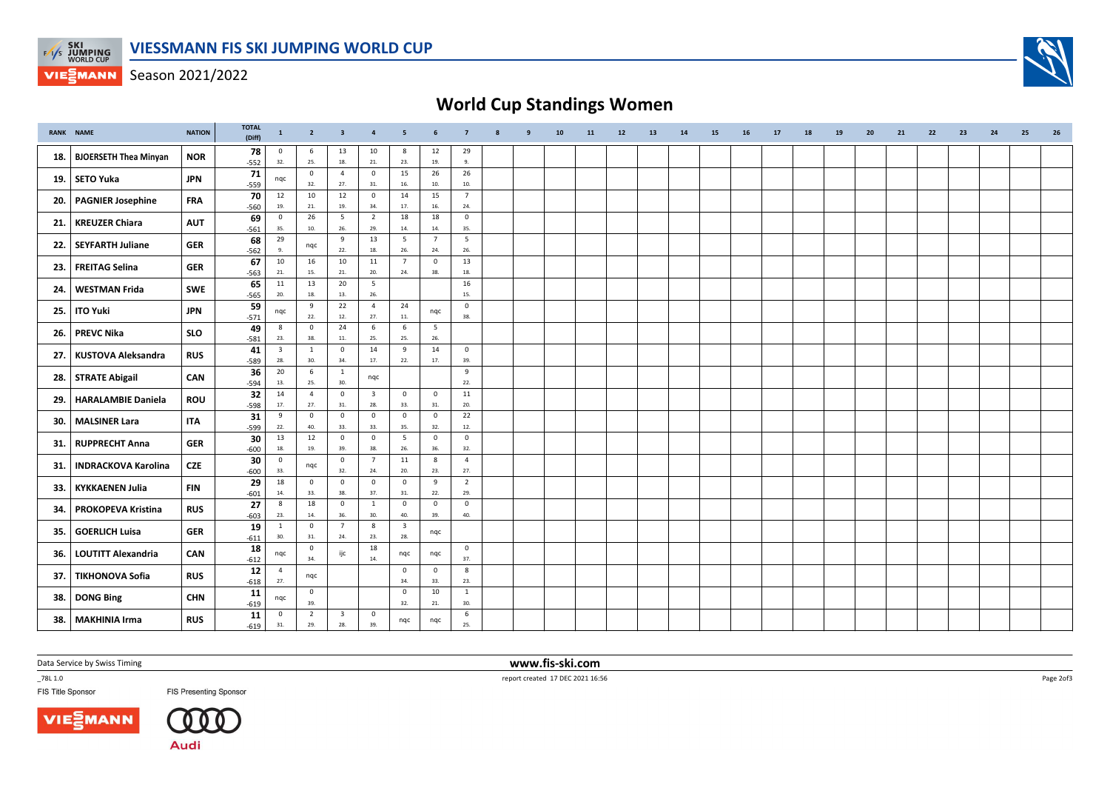

**VIESMANN** Season 2021/2022

## World Cup Standings Women

|     | RANK NAME                    | <b>NATION</b> | <b>TOTAL</b><br>(Diff) | $\mathbf{1}$                   | $\overline{2}$        | $\overline{\mathbf{3}}$ | $\overline{a}$          | $5\phantom{.0}$                | 6                       | $\overline{7}$        | -8 | 9 | 10 | 11 | $12$ | 13 | 14 | 15 | 16 | 17 | 18 | 19 | 20 | 21 | 22 | 23 | 24 | 25 | 26 |
|-----|------------------------------|---------------|------------------------|--------------------------------|-----------------------|-------------------------|-------------------------|--------------------------------|-------------------------|-----------------------|----|---|----|----|------|----|----|----|----|----|----|----|----|----|----|----|----|----|----|
| 18. | <b>BJOERSETH Thea Minyan</b> | <b>NOR</b>    | 78<br>$-552$           | $\mathbf 0$<br>32.             | -6<br>25.             | 13<br>18.               | 10<br>21.               | 8<br>23.                       | 12<br>19.               | 29<br>9.              |    |   |    |    |      |    |    |    |    |    |    |    |    |    |    |    |    |    |    |
| 19. | SETO Yuka                    | <b>JPN</b>    | 71<br>$-559$           | nqc                            | $\mathbf 0$<br>32.    | $\overline{4}$<br>27.   | $\mathbf 0$<br>31.      | 15<br>16.                      | 26<br>10.               | 26<br>10.             |    |   |    |    |      |    |    |    |    |    |    |    |    |    |    |    |    |    |    |
| 20. | <b>PAGNIER Josephine</b>     | <b>FRA</b>    | 70<br>$-560$           | 12<br>19.                      | 10<br>21.             | 12<br>19.               | $\mathsf 0$<br>34.      | 14<br>17.                      | 15<br>16.               | $\overline{7}$<br>24. |    |   |    |    |      |    |    |    |    |    |    |    |    |    |    |    |    |    |    |
| 21. | <b>KREUZER Chiara</b>        | <b>AUT</b>    | 69<br>$-561$           | $\mathbf 0$<br>35.             | 26<br>10.             | 5<br>26.                | $\overline{2}$<br>29.   | 18<br>14.                      | 18<br>14.               | $\mathsf{O}$<br>35.   |    |   |    |    |      |    |    |    |    |    |    |    |    |    |    |    |    |    |    |
| 22. | <b>SEYFARTH Juliane</b>      | <b>GER</b>    | 68<br>$-562$           | 29<br>9.                       | nqc                   | 9<br>22.                | 13<br>18.               | 5<br>26.                       | $\overline{7}$<br>24.   | 5<br>26.              |    |   |    |    |      |    |    |    |    |    |    |    |    |    |    |    |    |    |    |
| 23. | <b>FREITAG Selina</b>        | <b>GER</b>    | 67<br>$-563$           | 10<br>21.                      | 16<br>15.             | 10<br>21.               | 11<br>20.               | $7\overline{ }$<br>24.         | $\mathbf 0$<br>38.      | 13<br>18.             |    |   |    |    |      |    |    |    |    |    |    |    |    |    |    |    |    |    |    |
| 24. | <b>WESTMAN Frida</b>         | <b>SWE</b>    | 65                     | 11<br>20.                      | 13<br>18.             | 20<br>13.               | 5<br>26.                |                                |                         | 16<br>15.             |    |   |    |    |      |    |    |    |    |    |    |    |    |    |    |    |    |    |    |
| 25. | <b>ITO Yuki</b>              | <b>JPN</b>    | $-565$<br>59           | nqc                            | 9<br>22.              | 22                      | $\overline{4}$          | 24                             | nqc                     | $\mathbf{0}$          |    |   |    |    |      |    |    |    |    |    |    |    |    |    |    |    |    |    |    |
| 26. | <b>PREVC Nika</b>            | <b>SLO</b>    | $-571$<br>49           | 8                              | $\mathbf 0$           | 12.<br>24               | 27.<br>6                | 11.<br>6                       | 5                       | 38.                   |    |   |    |    |      |    |    |    |    |    |    |    |    |    |    |    |    |    |    |
| 27. | <b>KUSTOVA Aleksandra</b>    | <b>RUS</b>    | $-581$<br>41           | 23.<br>$\overline{\mathbf{3}}$ | 38.<br><sup>1</sup>   | 11.<br>$\mathbf 0$      | 25.<br>14               | 25.<br>9                       | 26.<br>14               | $\mathbf{0}$          |    |   |    |    |      |    |    |    |    |    |    |    |    |    |    |    |    |    |    |
|     | 28. STRATE Abigail           | <b>CAN</b>    | $-589$<br>36           | 28.<br>20                      | 30.<br>6              | 34.<br>$\mathbf{1}$     | 17.<br>nqc              | 22.                            | 17.                     | 39.<br>9              |    |   |    |    |      |    |    |    |    |    |    |    |    |    |    |    |    |    |    |
| 29. | <b>HARALAMBIE Daniela</b>    | <b>ROU</b>    | $-594$<br>32           | 13.<br>14                      | 25.<br>$\overline{4}$ | 30.<br>$\mathbf{0}$     | $\overline{\mathbf{3}}$ | $\mathbf{0}$                   | $\mathbf 0$             | 22.<br>11             |    |   |    |    |      |    |    |    |    |    |    |    |    |    |    |    |    |    |    |
| 30. | <b>MALSINER Lara</b>         | <b>ITA</b>    | $-598$<br>31           | 17.<br>9                       | 27.<br>$\mathbf 0$    | 31.<br>$\mathbf 0$      | 28.<br>$\mathbf 0$      | 33.<br>$\mathbf 0$             | 31.<br>$\overline{0}$   | 20.<br>22             |    |   |    |    |      |    |    |    |    |    |    |    |    |    |    |    |    |    |    |
| 31. | <b>RUPPRECHT Anna</b>        | <b>GER</b>    | $-599$<br>30           | 22.<br>13                      | 40.<br>12             | 33.<br>$\mathbf 0$      | 33.<br>$\mathsf 0$      | 35.<br>$5\overline{5}$         | 32.<br>$\mathbf 0$      | $12.$<br>$\mathbf 0$  |    |   |    |    |      |    |    |    |    |    |    |    |    |    |    |    |    |    |    |
| 31. | <b>INDRACKOVA Karolina</b>   | <b>CZE</b>    | $-600$<br>30           | 18.<br>$\mathbf 0$             | 19.<br>nqc            | 39.<br>$\mathbf 0$      | 38.<br>$\overline{7}$   | 26.<br>11                      | 36.<br>$\boldsymbol{8}$ | 32.<br>$\overline{4}$ |    |   |    |    |      |    |    |    |    |    |    |    |    |    |    |    |    |    |    |
| 33. | <b>KYKKAENEN Julia</b>       | <b>FIN</b>    | $-600$<br>29           | 33.<br>18                      | $\mathbf 0$           | 32.<br>$\mathbf 0$      | 24.<br>$\mathsf 0$      | 20.<br>$\mathbf 0$             | 23.<br>9                | 27.<br>$\overline{2}$ |    |   |    |    |      |    |    |    |    |    |    |    |    |    |    |    |    |    |    |
| 34. | <b>PROKOPEVA Kristina</b>    | <b>RUS</b>    | $-601$<br>27           | 14.<br>8                       | 33.<br>18             | 38.<br>$\mathbf 0$      | 37.<br>$\mathbf{1}$     | 31.<br>$\mathbf 0$             | 22.<br>$\mathbf 0$      | 29.<br>$\mathbf{0}$   |    |   |    |    |      |    |    |    |    |    |    |    |    |    |    |    |    |    |    |
| 35. | <b>GOERLICH Luisa</b>        | <b>GER</b>    | $-603$<br>19           | 23.<br>$\mathbf{1}$            | 14.<br>$\mathbf 0$    | 36.<br>$\overline{7}$   | 30.<br>$\bf 8$          | 40.<br>$\overline{\mathbf{3}}$ | 39.                     | 40.                   |    |   |    |    |      |    |    |    |    |    |    |    |    |    |    |    |    |    |    |
|     | <b>LOUTITT Alexandria</b>    | CAN           | $-611$<br>18           | 30.                            | 31.<br>$\mathbf 0$    | 24.<br>ijc              | 23.<br>18               | 28.                            | nqc                     | $\mathbf 0$           |    |   |    |    |      |    |    |    |    |    |    |    |    |    |    |    |    |    |    |
| 36. |                              |               | $-612$<br>12           | nqc<br>$\overline{4}$          | 34.                   |                         | 14.                     | nqc<br>$\mathbf 0$             | nqc<br>$\mathbf 0$      | 37.<br>8              |    |   |    |    |      |    |    |    |    |    |    |    |    |    |    |    |    |    |    |
| 37. | <b>TIKHONOVA Sofia</b>       | <b>RUS</b>    | $-618$<br>11           | 27.                            | nqc<br>$\mathbf 0$    |                         |                         | 34.<br>$\mathbf{0}$            | 33.<br>10               | 23.<br>$\mathbf{1}$   |    |   |    |    |      |    |    |    |    |    |    |    |    |    |    |    |    |    |    |
| 38. | DONG Bing                    | <b>CHN</b>    | $-619$<br>11           | nqc<br>$\mathbf 0$             | 39.<br>$\overline{2}$ | $\overline{\mathbf{3}}$ | $\mathbf 0$             | 32.                            | 21.                     | 30.<br>6              |    |   |    |    |      |    |    |    |    |    |    |    |    |    |    |    |    |    |    |
| 38. | <b>MAKHINIA Irma</b>         | <b>RUS</b>    | $-619$                 | 31.                            | 29.                   | 28.                     | 39.                     | nqc                            | nqc                     | 25.                   |    |   |    |    |      |    |    |    |    |    |    |    |    |    |    |    |    |    |    |

Data Service by Swiss Timing

\_78L 1.0

FIS Title Sponsor



report created 17 DEC 2021 16:56